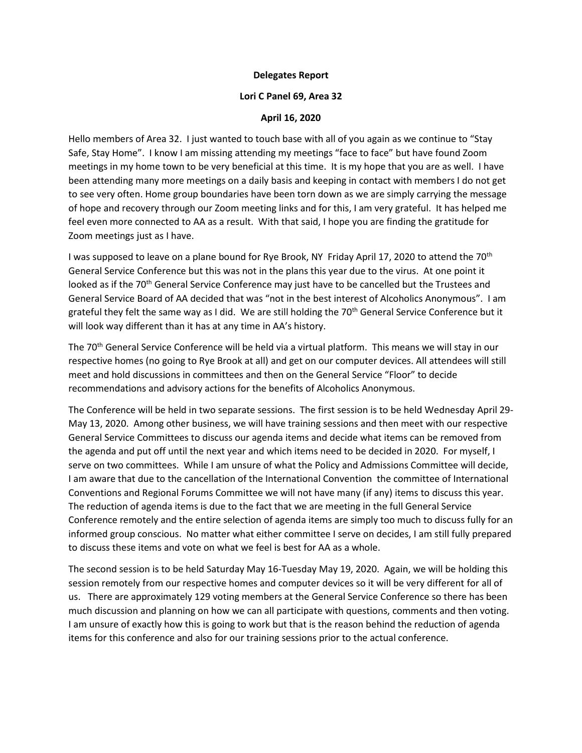## **Delegates Report**

## **Lori C Panel 69, Area 32**

## **April 16, 2020**

Hello members of Area 32. I just wanted to touch base with all of you again as we continue to "Stay Safe, Stay Home". I know I am missing attending my meetings "face to face" but have found Zoom meetings in my home town to be very beneficial at this time. It is my hope that you are as well. I have been attending many more meetings on a daily basis and keeping in contact with members I do not get to see very often. Home group boundaries have been torn down as we are simply carrying the message of hope and recovery through our Zoom meeting links and for this, I am very grateful. It has helped me feel even more connected to AA as a result. With that said, I hope you are finding the gratitude for Zoom meetings just as I have.

I was supposed to leave on a plane bound for Rye Brook, NY Friday April 17, 2020 to attend the 70<sup>th</sup> General Service Conference but this was not in the plans this year due to the virus. At one point it looked as if the 70<sup>th</sup> General Service Conference may just have to be cancelled but the Trustees and General Service Board of AA decided that was "not in the best interest of Alcoholics Anonymous". I am grateful they felt the same way as I did. We are still holding the 70<sup>th</sup> General Service Conference but it will look way different than it has at any time in AA's history.

The 70th General Service Conference will be held via a virtual platform. This means we will stay in our respective homes (no going to Rye Brook at all) and get on our computer devices. All attendees will still meet and hold discussions in committees and then on the General Service "Floor" to decide recommendations and advisory actions for the benefits of Alcoholics Anonymous.

The Conference will be held in two separate sessions. The first session is to be held Wednesday April 29- May 13, 2020. Among other business, we will have training sessions and then meet with our respective General Service Committees to discuss our agenda items and decide what items can be removed from the agenda and put off until the next year and which items need to be decided in 2020. For myself, I serve on two committees. While I am unsure of what the Policy and Admissions Committee will decide, I am aware that due to the cancellation of the International Convention the committee of International Conventions and Regional Forums Committee we will not have many (if any) items to discuss this year. The reduction of agenda items is due to the fact that we are meeting in the full General Service Conference remotely and the entire selection of agenda items are simply too much to discuss fully for an informed group conscious. No matter what either committee I serve on decides, I am still fully prepared to discuss these items and vote on what we feel is best for AA as a whole.

The second session is to be held Saturday May 16-Tuesday May 19, 2020. Again, we will be holding this session remotely from our respective homes and computer devices so it will be very different for all of us. There are approximately 129 voting members at the General Service Conference so there has been much discussion and planning on how we can all participate with questions, comments and then voting. I am unsure of exactly how this is going to work but that is the reason behind the reduction of agenda items for this conference and also for our training sessions prior to the actual conference.